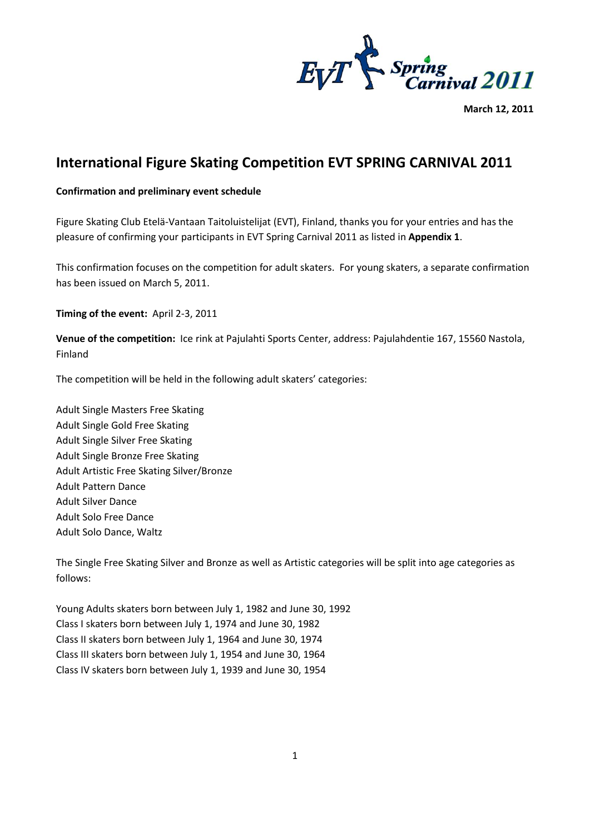

**March 12, 2011**

## **International Figure Skating Competition EVT SPRING CARNIVAL 2011**

## **Confirmation and preliminary event schedule**

Figure Skating Club Etelä-Vantaan Taitoluistelijat (EVT), Finland, thanks you for your entries and has the pleasure of confirming your participants in EVT Spring Carnival 2011 as listed in **Appendix 1**.

This confirmation focuses on the competition for adult skaters. For young skaters, a separate confirmation has been issued on March 5, 2011.

**Timing of the event:** April 2-3, 2011

**Venue of the competition:** Ice rink at Pajulahti Sports Center, address: Pajulahdentie 167, 15560 Nastola, Finland

The competition will be held in the following adult skaters' categories:

Adult Single Masters Free Skating Adult Single Gold Free Skating Adult Single Silver Free Skating Adult Single Bronze Free Skating Adult Artistic Free Skating Silver/Bronze Adult Pattern Dance Adult Silver Dance Adult Solo Free Dance Adult Solo Dance, Waltz

The Single Free Skating Silver and Bronze as well as Artistic categories will be split into age categories as follows:

Young Adults skaters born between July 1, 1982 and June 30, 1992 Class I skaters born between July 1, 1974 and June 30, 1982 Class II skaters born between July 1, 1964 and June 30, 1974 Class III skaters born between July 1, 1954 and June 30, 1964 Class IV skaters born between July 1, 1939 and June 30, 1954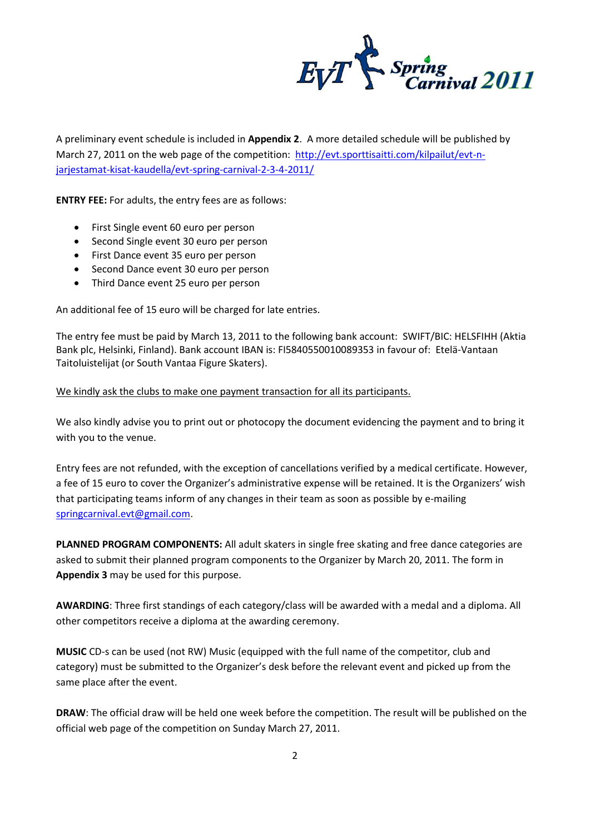$E_V T \sum_{Carnival}$  2011

A preliminary event schedule is included in **Appendix 2**. A more detailed schedule will be published by March 27, 2011 on the web page of the competition: [http://evt.sporttisaitti.com/kilpailut/evt-n](http://evt.sporttisaitti.com/kilpailut/evt-n-jarjestamat-kisat-kaudella/evt-spring-carnival-2-3-4-2011/)[jarjestamat-kisat-kaudella/evt-spring-carnival-2-3-4-2011/](http://evt.sporttisaitti.com/kilpailut/evt-n-jarjestamat-kisat-kaudella/evt-spring-carnival-2-3-4-2011/)

**ENTRY FEE:** For adults, the entry fees are as follows:

- First Single event 60 euro per person
- Second Single event 30 euro per person
- First Dance event 35 euro per person
- Second Dance event 30 euro per person
- Third Dance event 25 euro per person

An additional fee of 15 euro will be charged for late entries.

The entry fee must be paid by March 13, 2011 to the following bank account: SWIFT/BIC: HELSFIHH (Aktia Bank plc, Helsinki, Finland). Bank account IBAN is: FI5840550010089353 in favour of: Etelä-Vantaan Taitoluistelijat (or South Vantaa Figure Skaters).

## We kindly ask the clubs to make one payment transaction for all its participants.

We also kindly advise you to print out or photocopy the document evidencing the payment and to bring it with you to the venue.

Entry fees are not refunded, with the exception of cancellations verified by a medical certificate. However, a fee of 15 euro to cover the Organizer's administrative expense will be retained. It is the Organizers' wish that participating teams inform of any changes in their team as soon as possible by e-mailing [springcarnival.evt@gmail.com.](mailto:springcarnival.evt@gmail.com)

**PLANNED PROGRAM COMPONENTS:** All adult skaters in single free skating and free dance categories are asked to submit their planned program components to the Organizer by March 20, 2011. The form in **Appendix 3** may be used for this purpose.

**AWARDING**: Three first standings of each category/class will be awarded with a medal and a diploma. All other competitors receive a diploma at the awarding ceremony.

**MUSIC** CD-s can be used (not RW) Music (equipped with the full name of the competitor, club and category) must be submitted to the Organizer's desk before the relevant event and picked up from the same place after the event.

**DRAW**: The official draw will be held one week before the competition. The result will be published on the official web page of the competition on Sunday March 27, 2011.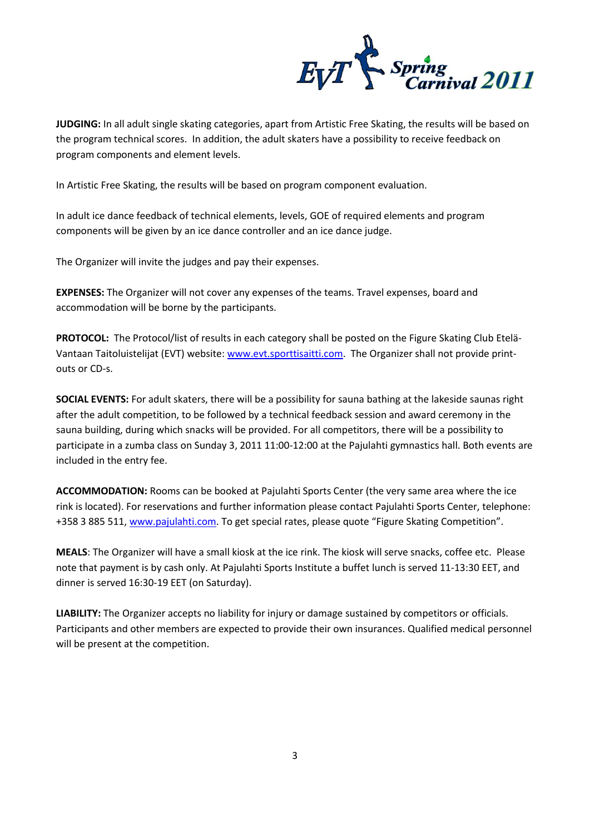

**JUDGING:** In all adult single skating categories, apart from Artistic Free Skating, the results will be based on the program technical scores. In addition, the adult skaters have a possibility to receive feedback on program components and element levels.

In Artistic Free Skating, the results will be based on program component evaluation.

In adult ice dance feedback of technical elements, levels, GOE of required elements and program components will be given by an ice dance controller and an ice dance judge.

The Organizer will invite the judges and pay their expenses.

**EXPENSES:** The Organizer will not cover any expenses of the teams. Travel expenses, board and accommodation will be borne by the participants.

**PROTOCOL:** The Protocol/list of results in each category shall be posted on the Figure Skating Club Etelä-Vantaan Taitoluistelijat (EVT) website: [www.evt.sporttisaitti.com.](http://www.evt.sporttisaitti.com/) The Organizer shall not provide printouts or CD-s.

**SOCIAL EVENTS:** For adult skaters, there will be a possibility for sauna bathing at the lakeside saunas right after the adult competition, to be followed by a technical feedback session and award ceremony in the sauna building, during which snacks will be provided. For all competitors, there will be a possibility to participate in a zumba class on Sunday 3, 2011 11:00-12:00 at the Pajulahti gymnastics hall. Both events are included in the entry fee.

**ACCOMMODATION:** Rooms can be booked at Pajulahti Sports Center (the very same area where the ice rink is located). For reservations and further information please contact Pajulahti Sports Center, telephone: +358 3 885 511[, www.pajulahti.com](http://www.pajulahti.com/). To get special rates, please quote "Figure Skating Competition".

**MEALS**: The Organizer will have a small kiosk at the ice rink. The kiosk will serve snacks, coffee etc. Please note that payment is by cash only. At Pajulahti Sports Institute a buffet lunch is served 11-13:30 EET, and dinner is served 16:30-19 EET (on Saturday).

**LIABILITY:** The Organizer accepts no liability for injury or damage sustained by competitors or officials. Participants and other members are expected to provide their own insurances. Qualified medical personnel will be present at the competition.